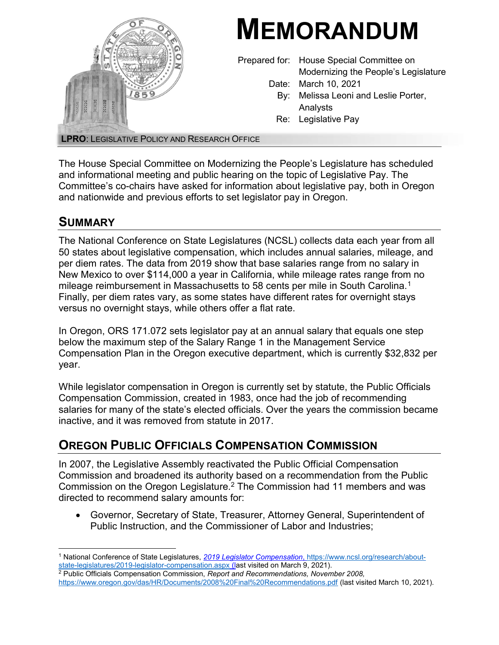

The House Special Committee on Modernizing the People's Legislature has scheduled and informational meeting and public hearing on the topic of Legislative Pay. The Committee's co-chairs have asked for information about legislative pay, both in Oregon and nationwide and previous efforts to set legislator pay in Oregon.

### **SUMMARY**

The National Conference on State Legislatures (NCSL) collects data each year from all 50 states about legislative compensation, which includes annual salaries, mileage, and per diem rates. The data from 2019 show that base salaries range from no salary in New Mexico to over \$114,000 a year in California, while mileage rates range from no mileage reimbursement in Massachusetts to 58 cents per mile in South Carolina.<sup>1</sup> Finally, per diem rates vary, as some states have different rates for overnight stays versus no overnight stays, while others offer a flat rate.

In Oregon, ORS 171.072 sets legislator pay at an annual salary that equals one step below the maximum step of the Salary Range 1 in the Management Service Compensation Plan in the Oregon executive department, which is currently \$32,832 per year.

While legislator compensation in Oregon is currently set by statute, the Public Officials Compensation Commission, created in 1983, once had the job of recommending salaries for many of the state's elected officials. Over the years the commission became inactive, and it was removed from statute in 2017.

# OREGON PUBLIC OFFICIALS COMPENSATION COMMISSION

In 2007, the Legislative Assembly reactivated the Public Official Compensation Commission and broadened its authority based on a recommendation from the Public Commission on the Oregon Legislature.<sup>2</sup> The Commission had 11 members and was directed to recommend salary amounts for:

 Governor, Secretary of State, Treasurer, Attorney General, Superintendent of Public Instruction, and the Commissioner of Labor and Industries;

 $\overline{a}$ <sup>1</sup> National Conference of State Legislatures, <u>2019 Legislator Compensation, https://www.ncsl.org/research/about-</u> state-legislatures/2019-legislator-compensation.aspx (last visited on March 9, 2021).

<sup>&</sup>lt;sup>2</sup> Public Officials Compensation Commission, Report and Recommendations, November 2008, https://www.oregon.gov/das/HR/Documents/2008%20Final%20Recommendations.pdf (last visited March 10, 2021).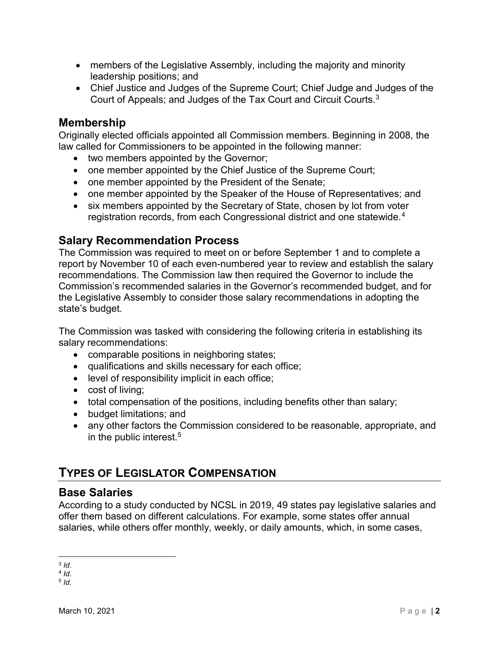- members of the Legislative Assembly, including the majority and minority leadership positions; and
- Chief Justice and Judges of the Supreme Court; Chief Judge and Judges of the Court of Appeals; and Judges of the Tax Court and Circuit Courts.<sup>3</sup>

### Membership

Originally elected officials appointed all Commission members. Beginning in 2008, the law called for Commissioners to be appointed in the following manner:

- two members appointed by the Governor;
- one member appointed by the Chief Justice of the Supreme Court;
- one member appointed by the President of the Senate;
- one member appointed by the Speaker of the House of Representatives; and
- six members appointed by the Secretary of State, chosen by lot from voter registration records, from each Congressional district and one statewide.<sup>4</sup>

### Salary Recommendation Process

The Commission was required to meet on or before September 1 and to complete a report by November 10 of each even-numbered year to review and establish the salary recommendations. The Commission law then required the Governor to include the Commission's recommended salaries in the Governor's recommended budget, and for the Legislative Assembly to consider those salary recommendations in adopting the state's budget.

The Commission was tasked with considering the following criteria in establishing its salary recommendations:

- comparable positions in neighboring states;
- qualifications and skills necessary for each office;
- level of responsibility implicit in each office;
- cost of living;
- total compensation of the positions, including benefits other than salary;
- budget limitations; and
- any other factors the Commission considered to be reasonable, appropriate, and in the public interest.<sup>5</sup>

# TYPES OF LEGISLATOR COMPENSATION

### Base Salaries

According to a study conducted by NCSL in 2019, 49 states pay legislative salaries and offer them based on different calculations. For example, some states offer annual salaries, while others offer monthly, weekly, or daily amounts, which, in some cases,

 $\overline{a}$  $3$  Id.

 $4$  Id.

<sup>5</sup> Id.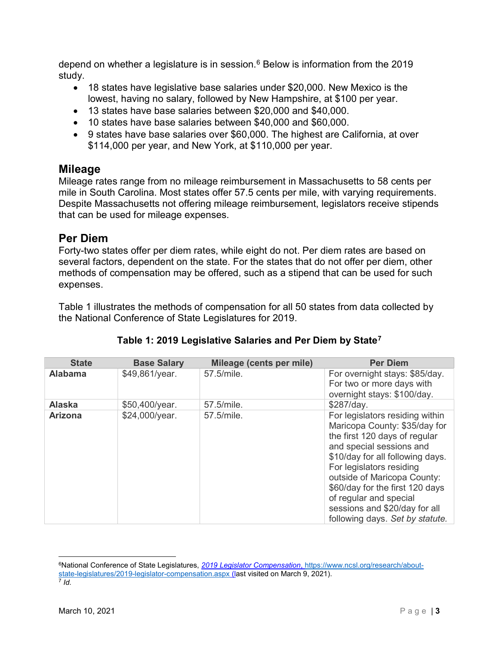depend on whether a legislature is in session.<sup>6</sup> Below is information from the 2019 study.

- 18 states have legislative base salaries under \$20,000. New Mexico is the lowest, having no salary, followed by New Hampshire, at \$100 per year.
- 13 states have base salaries between \$20,000 and \$40,000.
- 10 states have base salaries between \$40,000 and \$60,000.
- 9 states have base salaries over \$60,000. The highest are California, at over \$114,000 per year, and New York, at \$110,000 per year.

### **Mileage**

Mileage rates range from no mileage reimbursement in Massachusetts to 58 cents per mile in South Carolina. Most states offer 57.5 cents per mile, with varying requirements. Despite Massachusetts not offering mileage reimbursement, legislators receive stipends that can be used for mileage expenses.

### Per Diem

Forty-two states offer per diem rates, while eight do not. Per diem rates are based on several factors, dependent on the state. For the states that do not offer per diem, other methods of compensation may be offered, such as a stipend that can be used for such expenses.

Table 1 illustrates the methods of compensation for all 50 states from data collected by the National Conference of State Legislatures for 2019.

| <b>State</b>   | <b>Base Salary</b> | Mileage (cents per mile) | <b>Per Diem</b>                                                                                                                                                                                                                                                                                                                                               |
|----------------|--------------------|--------------------------|---------------------------------------------------------------------------------------------------------------------------------------------------------------------------------------------------------------------------------------------------------------------------------------------------------------------------------------------------------------|
| <b>Alabama</b> | \$49,861/year.     | 57.5/mile.               | For overnight stays: \$85/day.<br>For two or more days with<br>overnight stays: \$100/day.                                                                                                                                                                                                                                                                    |
| <b>Alaska</b>  | \$50,400/year.     | 57.5/mile.               | \$287/day.                                                                                                                                                                                                                                                                                                                                                    |
| <b>Arizona</b> | \$24,000/year.     | 57.5/mile.               | For legislators residing within<br>Maricopa County: \$35/day for<br>the first 120 days of regular<br>and special sessions and<br>\$10/day for all following days.<br>For legislators residing<br>outside of Maricopa County:<br>\$60/day for the first 120 days<br>of regular and special<br>sessions and \$20/day for all<br>following days. Set by statute. |

### Table 1: 2019 Legislative Salaries and Per Diem by State<sup>7</sup>

 $\overline{a}$ 

<sup>&</sup>lt;sup>6</sup>National Conference of State Legislatures, 2019 Legislator Compensation, https://www.ncsl.org/research/aboutstate-legislatures/2019-legislator-compensation.aspx (last visited on March 9, 2021). 7 Id.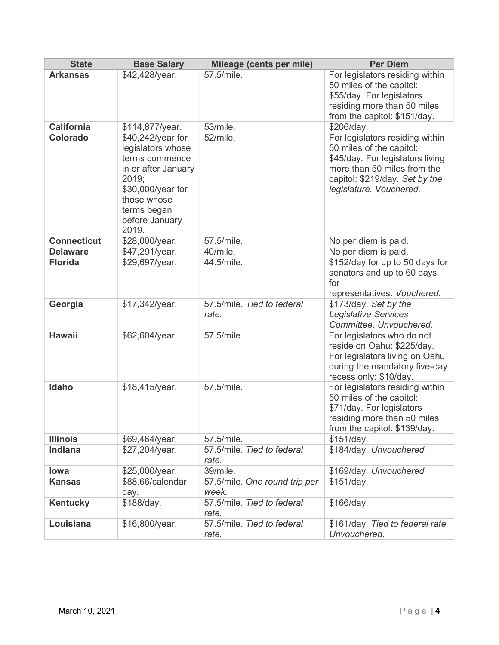| <b>State</b>       | <b>Base Salary</b>                                                                                                                                                     | Mileage (cents per mile)               | <b>Per Diem</b>                                                                                                                                                                             |
|--------------------|------------------------------------------------------------------------------------------------------------------------------------------------------------------------|----------------------------------------|---------------------------------------------------------------------------------------------------------------------------------------------------------------------------------------------|
| <b>Arkansas</b>    | \$42,428/year.                                                                                                                                                         | 57.5/mile.                             | For legislators residing within<br>50 miles of the capitol:<br>\$55/day. For legislators<br>residing more than 50 miles<br>from the capitol: \$151/day.                                     |
| <b>California</b>  | \$114,877/year.                                                                                                                                                        | 53/mile.                               | \$206/day.                                                                                                                                                                                  |
| <b>Colorado</b>    | \$40,242/year for<br>legislators whose<br>terms commence<br>in or after January<br>2019;<br>\$30,000/year for<br>those whose<br>terms began<br>before January<br>2019. | 52/mile.                               | For legislators residing within<br>50 miles of the capitol:<br>\$45/day. For legislators living<br>more than 50 miles from the<br>capitol: \$219/day. Set by the<br>legislature. Vouchered. |
| <b>Connecticut</b> | \$28,000/year.                                                                                                                                                         | 57.5/mile.                             | No per diem is paid.                                                                                                                                                                        |
| <b>Delaware</b>    | \$47,291/year.                                                                                                                                                         | 40/mile.                               | No per diem is paid.                                                                                                                                                                        |
| <b>Florida</b>     | \$29,697/year.                                                                                                                                                         | 44.5/mile.                             | \$152/day for up to 50 days for<br>senators and up to 60 days<br>for<br>representatives. Vouchered.                                                                                         |
| Georgia            | \$17,342/year.                                                                                                                                                         | 57.5/mile. Tied to federal<br>rate.    | \$173/day. Set by the<br><b>Legislative Services</b><br>Committee. Unvouchered.                                                                                                             |
| <b>Hawaii</b>      | \$62,604/year.                                                                                                                                                         | 57.5/mile.                             | For legislators who do not<br>reside on Oahu: \$225/day.<br>For legislators living on Oahu<br>during the mandatory five-day<br>recess only: \$10/day.                                       |
| Idaho              | \$18,415/year.                                                                                                                                                         | 57.5/mile.                             | For legislators residing within<br>50 miles of the capitol:<br>\$71/day. For legislators<br>residing more than 50 miles<br>from the capitol: \$139/day.                                     |
| <b>Illinois</b>    | \$69,464/year.                                                                                                                                                         | 57.5/mile.                             | \$151/day.                                                                                                                                                                                  |
| Indiana            | \$27,204/year.                                                                                                                                                         | 57.5/mile. Tied to federal<br>rate.    | \$184/day. Unvouchered.                                                                                                                                                                     |
| lowa               | \$25,000/year.                                                                                                                                                         | 39/mile.                               | \$169/day. Unvouchered.                                                                                                                                                                     |
| <b>Kansas</b>      | \$88.66/calendar<br>day.                                                                                                                                               | 57.5/mile. One round trip per<br>week. | \$151/day.                                                                                                                                                                                  |
| <b>Kentucky</b>    | \$188/day.                                                                                                                                                             | 57.5/mile. Tied to federal<br>rate.    | \$166/day.                                                                                                                                                                                  |
| Louisiana          | \$16,800/year.                                                                                                                                                         | 57.5/mile. Tied to federal<br>rate.    | \$161/day. Tied to federal rate.<br>Unvouchered.                                                                                                                                            |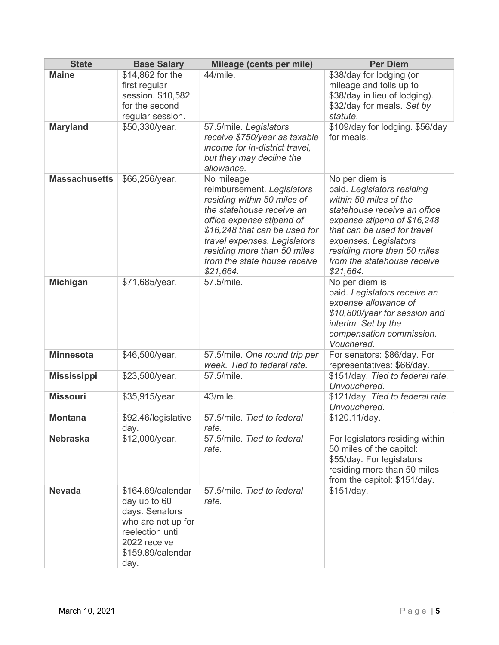| <b>State</b>         | <b>Base Salary</b>                                                                                                                         | Mileage (cents per mile)                                                                                                                                                                                                                                                                     | <b>Per Diem</b>                                                                                                                                                                                                                                                                            |
|----------------------|--------------------------------------------------------------------------------------------------------------------------------------------|----------------------------------------------------------------------------------------------------------------------------------------------------------------------------------------------------------------------------------------------------------------------------------------------|--------------------------------------------------------------------------------------------------------------------------------------------------------------------------------------------------------------------------------------------------------------------------------------------|
| <b>Maine</b>         | \$14,862 for the                                                                                                                           | 44/mile.                                                                                                                                                                                                                                                                                     | \$38/day for lodging (or                                                                                                                                                                                                                                                                   |
|                      | first regular                                                                                                                              |                                                                                                                                                                                                                                                                                              | mileage and tolls up to                                                                                                                                                                                                                                                                    |
|                      | session. \$10,582                                                                                                                          |                                                                                                                                                                                                                                                                                              | \$38/day in lieu of lodging).                                                                                                                                                                                                                                                              |
|                      | for the second                                                                                                                             |                                                                                                                                                                                                                                                                                              | \$32/day for meals. Set by                                                                                                                                                                                                                                                                 |
|                      | regular session.                                                                                                                           |                                                                                                                                                                                                                                                                                              | statute.                                                                                                                                                                                                                                                                                   |
| <b>Maryland</b>      | \$50,330/year.                                                                                                                             | 57.5/mile. Legislators<br>receive \$750/year as taxable<br>income for in-district travel,<br>but they may decline the<br>allowance.                                                                                                                                                          | \$109/day for lodging. \$56/day<br>for meals.                                                                                                                                                                                                                                              |
| <b>Massachusetts</b> | \$66,256/year.<br>\$71,685/year.                                                                                                           | No mileage<br>reimbursement. Legislators<br>residing within 50 miles of<br>the statehouse receive an<br>office expense stipend of<br>\$16,248 that can be used for<br>travel expenses. Legislators<br>residing more than 50 miles<br>from the state house receive<br>\$21,664.<br>57.5/mile. | No per diem is<br>paid. Legislators residing<br>within 50 miles of the<br>statehouse receive an office<br>expense stipend of \$16,248<br>that can be used for travel<br>expenses. Legislators<br>residing more than 50 miles<br>from the statehouse receive<br>\$21,664.<br>No per diem is |
| <b>Michigan</b>      |                                                                                                                                            |                                                                                                                                                                                                                                                                                              | paid. Legislators receive an<br>expense allowance of<br>\$10,800/year for session and<br>interim. Set by the<br>compensation commission.<br>Vouchered.                                                                                                                                     |
| <b>Minnesota</b>     | \$46,500/year.                                                                                                                             | 57.5/mile. One round trip per<br>week. Tied to federal rate.                                                                                                                                                                                                                                 | For senators: \$86/day. For<br>representatives: \$66/day.                                                                                                                                                                                                                                  |
| <b>Mississippi</b>   | \$23,500/year.                                                                                                                             | 57.5/mile.                                                                                                                                                                                                                                                                                   | \$151/day. Tied to federal rate.<br>Unvouchered.                                                                                                                                                                                                                                           |
| <b>Missouri</b>      | \$35,915/year.                                                                                                                             | 43/mile.                                                                                                                                                                                                                                                                                     | \$121/day. Tied to federal rate.<br>Unvouchered.                                                                                                                                                                                                                                           |
| <b>Montana</b>       | \$92.46/legislative<br>day.                                                                                                                | 57.5/mile. Tied to federal<br>rate.                                                                                                                                                                                                                                                          | \$120.11/day.                                                                                                                                                                                                                                                                              |
| <b>Nebraska</b>      | \$12,000/year.                                                                                                                             | 57.5/mile. Tied to federal<br>rate.                                                                                                                                                                                                                                                          | For legislators residing within<br>50 miles of the capitol:<br>\$55/day. For legislators<br>residing more than 50 miles<br>from the capitol: \$151/day.                                                                                                                                    |
| <b>Nevada</b>        | \$164.69/calendar<br>day up to 60<br>days. Senators<br>who are not up for<br>reelection until<br>2022 receive<br>\$159.89/calendar<br>day. | 57.5/mile. Tied to federal<br>rate.                                                                                                                                                                                                                                                          | \$151/day.                                                                                                                                                                                                                                                                                 |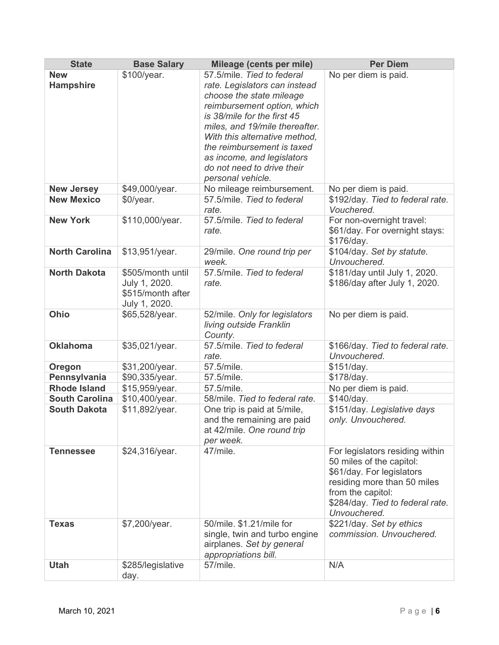| <b>State</b>                   | <b>Base Salary</b>                                                       | Mileage (cents per mile)                                                                                                                                                                                                                                                                                                                | <b>Per Diem</b>                                                                                                                                                                                  |
|--------------------------------|--------------------------------------------------------------------------|-----------------------------------------------------------------------------------------------------------------------------------------------------------------------------------------------------------------------------------------------------------------------------------------------------------------------------------------|--------------------------------------------------------------------------------------------------------------------------------------------------------------------------------------------------|
| <b>New</b><br><b>Hampshire</b> | \$100/year.                                                              | 57.5/mile. Tied to federal<br>rate. Legislators can instead<br>choose the state mileage<br>reimbursement option, which<br>is 38/mile for the first 45<br>miles, and 19/mile thereafter.<br>With this alternative method,<br>the reimbursement is taxed<br>as income, and legislators<br>do not need to drive their<br>personal vehicle. | No per diem is paid.                                                                                                                                                                             |
| <b>New Jersey</b>              | \$49,000/year.                                                           | No mileage reimbursement.                                                                                                                                                                                                                                                                                                               | No per diem is paid.                                                                                                                                                                             |
| <b>New Mexico</b>              | \$0/year.                                                                | 57.5/mile. Tied to federal<br>rate.                                                                                                                                                                                                                                                                                                     | \$192/day. Tied to federal rate.<br>Vouchered.                                                                                                                                                   |
| <b>New York</b>                | \$110,000/year.                                                          | 57.5/mile. Tied to federal<br>rate.                                                                                                                                                                                                                                                                                                     | For non-overnight travel:<br>\$61/day. For overnight stays:<br>\$176/day.                                                                                                                        |
| <b>North Carolina</b>          | \$13,951/year.                                                           | 29/mile. One round trip per<br>week.                                                                                                                                                                                                                                                                                                    | \$104/day. Set by statute.<br>Unvouchered.                                                                                                                                                       |
| <b>North Dakota</b>            | \$505/month until<br>July 1, 2020.<br>\$515/month after<br>July 1, 2020. | 57.5/mile. Tied to federal<br>rate.                                                                                                                                                                                                                                                                                                     | \$181/day until July 1, 2020.<br>\$186/day after July 1, 2020.                                                                                                                                   |
| Ohio                           | \$65,528/year.                                                           | 52/mile. Only for legislators<br>living outside Franklin<br>County.                                                                                                                                                                                                                                                                     | No per diem is paid.                                                                                                                                                                             |
| <b>Oklahoma</b>                | \$35,021/year.                                                           | 57.5/mile. Tied to federal<br>rate.                                                                                                                                                                                                                                                                                                     | \$166/day. Tied to federal rate.<br>Unvouchered.                                                                                                                                                 |
| Oregon                         | \$31,200/year.                                                           | 57.5/mile.                                                                                                                                                                                                                                                                                                                              | \$151/day.                                                                                                                                                                                       |
| Pennsylvania                   | \$90,335/year.                                                           | 57.5/mile.                                                                                                                                                                                                                                                                                                                              | \$178/day.                                                                                                                                                                                       |
| <b>Rhode Island</b>            | \$15,959/year.                                                           | 57.5/mile.                                                                                                                                                                                                                                                                                                                              | No per diem is paid.                                                                                                                                                                             |
| <b>South Carolina</b>          | \$10,400/year.                                                           | 58/mile. Tied to federal rate.                                                                                                                                                                                                                                                                                                          | \$140/day.                                                                                                                                                                                       |
| <b>South Dakota</b>            | \$11,892/year.                                                           | One trip is paid at 5/mile,<br>and the remaining are paid<br>at 42/mile. One round trip<br>per week.                                                                                                                                                                                                                                    | \$151/day. Legislative days<br>only. Unvouchered.                                                                                                                                                |
| <b>Tennessee</b>               | \$24,316/year.                                                           | 47/mile.                                                                                                                                                                                                                                                                                                                                | For legislators residing within<br>50 miles of the capitol:<br>\$61/day. For legislators<br>residing more than 50 miles<br>from the capitol:<br>\$284/day. Tied to federal rate.<br>Unvouchered. |
| <b>Texas</b>                   | \$7,200/year.                                                            | 50/mile. \$1.21/mile for<br>single, twin and turbo engine<br>airplanes. Set by general<br>appropriations bill.                                                                                                                                                                                                                          | \$221/day. Set by ethics<br>commission. Unvouchered.                                                                                                                                             |
| <b>Utah</b>                    | \$285/legislative<br>day.                                                | 57/mile.                                                                                                                                                                                                                                                                                                                                | N/A                                                                                                                                                                                              |